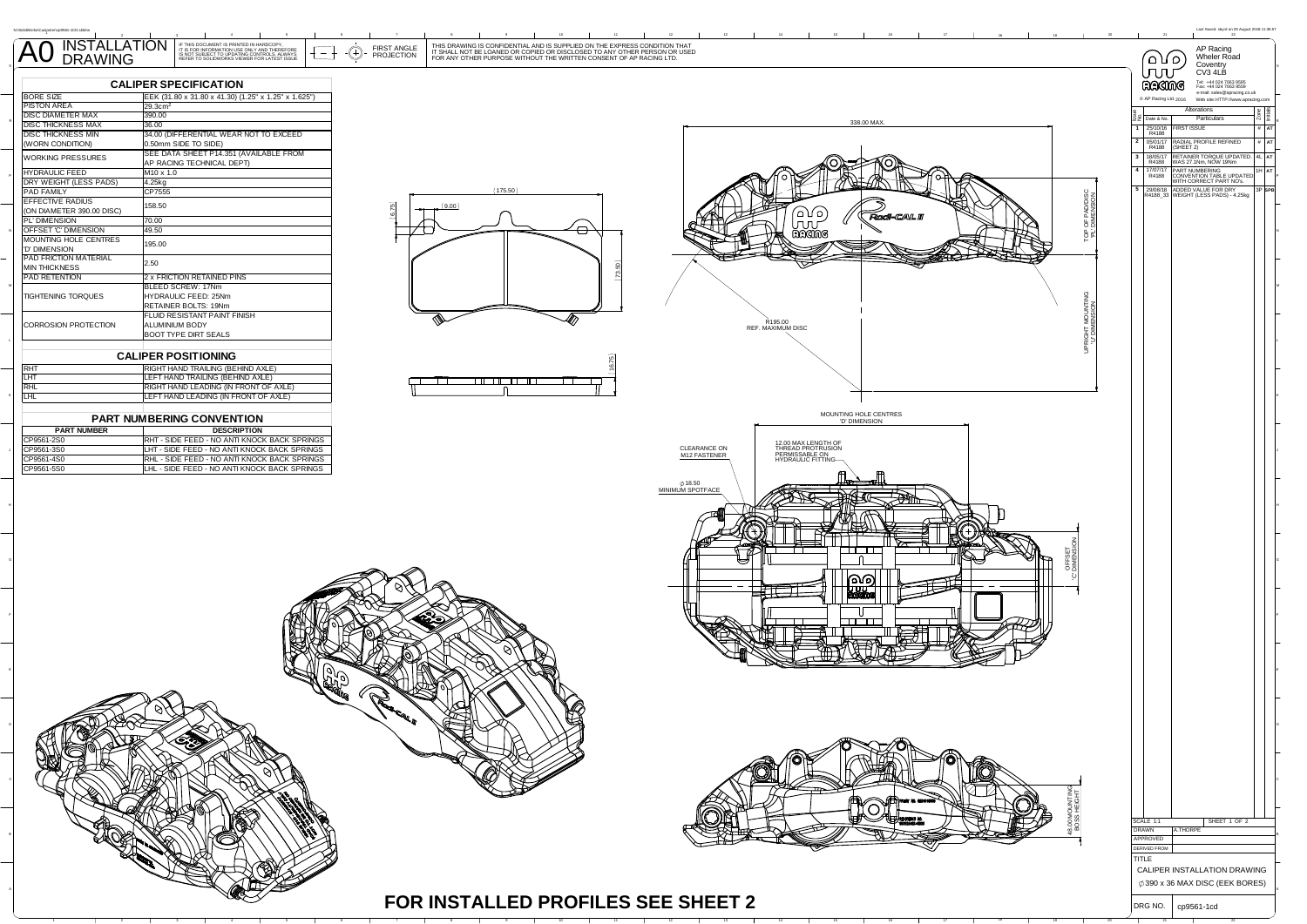